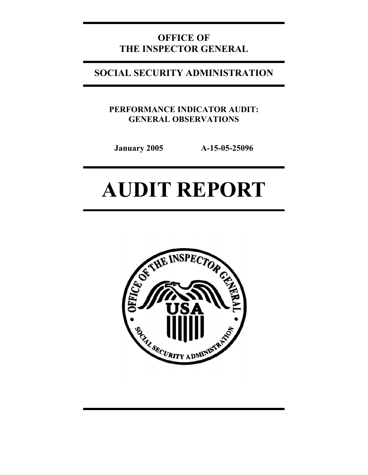# **OFFICE OF THE INSPECTOR GENERAL**

# **SOCIAL SECURITY ADMINISTRATION**

**PERFORMANCE INDICATOR AUDIT: GENERAL OBSERVATIONS** 

**January 2005 A-15-05-25096** 

# **AUDIT REPORT**

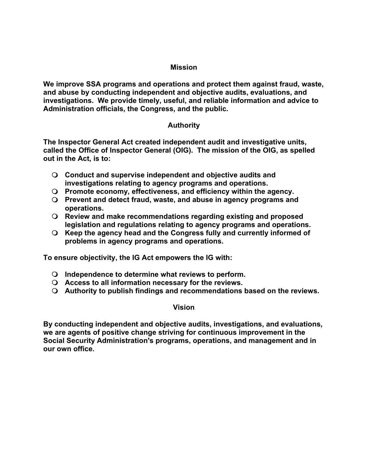### **Mission**

**We improve SSA programs and operations and protect them against fraud, waste, and abuse by conducting independent and objective audits, evaluations, and investigations. We provide timely, useful, and reliable information and advice to Administration officials, the Congress, and the public.** 

### **Authority**

**The Inspector General Act created independent audit and investigative units, called the Office of Inspector General (OIG). The mission of the OIG, as spelled out in the Act, is to:** 

- **Conduct and supervise independent and objective audits and investigations relating to agency programs and operations.**
- **Promote economy, effectiveness, and efficiency within the agency.**
- **Prevent and detect fraud, waste, and abuse in agency programs and operations.**
- **Review and make recommendations regarding existing and proposed legislation and regulations relating to agency programs and operations.**
- **Keep the agency head and the Congress fully and currently informed of problems in agency programs and operations.**

**To ensure objectivity, the IG Act empowers the IG with:** 

- **Independence to determine what reviews to perform.**
- **Access to all information necessary for the reviews.**
- **Authority to publish findings and recommendations based on the reviews.**

### **Vision**

**By conducting independent and objective audits, investigations, and evaluations, we are agents of positive change striving for continuous improvement in the Social Security Administration's programs, operations, and management and in our own office.**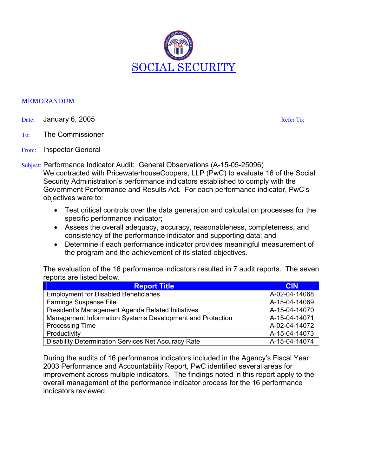

#### MEMORANDUM

- Date: January 6, 2005 Refer To:
- To: The Commissioner
- From: Inspector General
- Subject: Performance Indicator Audit: General Observations (A-15-05-25096) We contracted with PricewaterhouseCoopers, LLP (PwC) to evaluate 16 of the Social Security Administration's performance indicators established to comply with the Government Performance and Results Act. For each performance indicator, PwC's objectives were to:
	- Test critical controls over the data generation and calculation processes for the specific performance indicator;
	- Assess the overall adequacy, accuracy, reasonableness, completeness, and consistency of the performance indicator and supporting data; and
	- Determine if each performance indicator provides meaningful measurement of the program and the achievement of its stated objectives.

The evaluation of the 16 performance indicators resulted in 7 audit reports. The seven reports are listed below.

| <b>Report Title</b>                                        | <b>CIN</b>    |
|------------------------------------------------------------|---------------|
| <b>Employment for Disabled Beneficiaries</b>               | A-02-04-14068 |
| <b>Earnings Suspense File</b>                              | A-15-04-14069 |
| President's Management Agenda Related Initiatives          | A-15-04-14070 |
| Management Information Systems Development and Protection  | A-15-04-14071 |
| <b>Processing Time</b>                                     | A-02-04-14072 |
| Productivity                                               | A-15-04-14073 |
| <b>Disability Determination Services Net Accuracy Rate</b> | A-15-04-14074 |

During the audits of 16 performance indicators included in the Agency's Fiscal Year 2003 Performance and Accountability Report, PwC identified several areas for improvement across multiple indicators. The findings noted in this report apply to the overall management of the performance indicator process for the 16 performance indicators reviewed.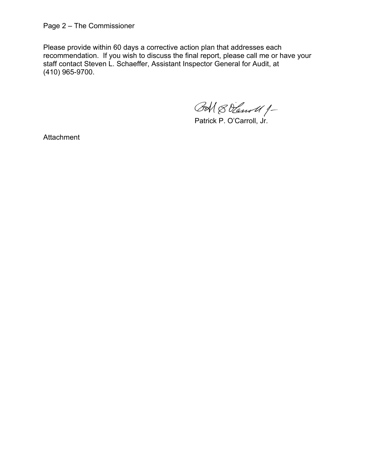Page 2 – The Commissioner

Please provide within 60 days a corrective action plan that addresses each recommendation. If you wish to discuss the final report, please call me or have your staff contact Steven L. Schaeffer, Assistant Inspector General for Audit, at (410) 965-9700.

BM & Vanoll 1-

Patrick P. O'Carroll, Jr.

**Attachment**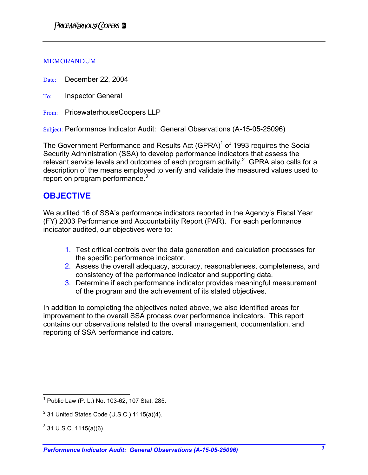#### MEMORANDUM

Date: December 22, 2004

To: Inspector General

From: PricewaterhouseCoopers LLP

Subject: Performance Indicator Audit: General Observations (A-15-05-25096)

The Government Performance and Results Act  $(GPRA)^1$  of 1993 requires the Social Security Administration (SSA) to develop performance indicators that assess the relevant service levels and outcomes of each program activity.<sup>2</sup> GPRA also calls for a description of the means employed to verify and validate the measured values used to report on program performance.<sup>3</sup>

### **OBJECTIVE**

We audited 16 of SSA's performance indicators reported in the Agency's Fiscal Year (FY) 2003 Performance and Accountability Report (PAR). For each performance indicator audited, our objectives were to:

- 1. Test critical controls over the data generation and calculation processes for the specific performance indicator.
- 2. Assess the overall adequacy, accuracy, reasonableness, completeness, and consistency of the performance indicator and supporting data.
- 3. Determine if each performance indicator provides meaningful measurement of the program and the achievement of its stated objectives.

In addition to completing the objectives noted above, we also identified areas for improvement to the overall SSA process over performance indicators. This report contains our observations related to the overall management, documentation, and reporting of SSA performance indicators.

 1 Public Law (P. L.) No. 103-62, 107 Stat. 285.

 $2^{2}$  31 United States Code (U.S.C.) 1115(a)(4).

 $3$  31 U.S.C. 1115(a)(6).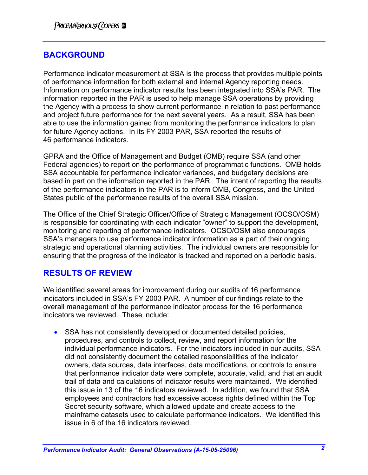## **BACKGROUND**

Performance indicator measurement at SSA is the process that provides multiple points of performance information for both external and internal Agency reporting needs. Information on performance indicator results has been integrated into SSA's PAR. The information reported in the PAR is used to help manage SSA operations by providing the Agency with a process to show current performance in relation to past performance and project future performance for the next several years. As a result, SSA has been able to use the information gained from monitoring the performance indicators to plan for future Agency actions. In its FY 2003 PAR, SSA reported the results of 46 performance indicators.

GPRA and the Office of Management and Budget (OMB) require SSA (and other Federal agencies) to report on the performance of programmatic functions. OMB holds SSA accountable for performance indicator variances, and budgetary decisions are based in part on the information reported in the PAR. The intent of reporting the results of the performance indicators in the PAR is to inform OMB, Congress, and the United States public of the performance results of the overall SSA mission.

The Office of the Chief Strategic Officer/Office of Strategic Management (OCSO/OSM) is responsible for coordinating with each indicator "owner" to support the development, monitoring and reporting of performance indicators. OCSO/OSM also encourages SSA's managers to use performance indicator information as a part of their ongoing strategic and operational planning activities. The individual owners are responsible for ensuring that the progress of the indicator is tracked and reported on a periodic basis.

### **RESULTS OF REVIEW**

We identified several areas for improvement during our audits of 16 performance indicators included in SSA's FY 2003 PAR. A number of our findings relate to the overall management of the performance indicator process for the 16 performance indicators we reviewed. These include:

• SSA has not consistently developed or documented detailed policies, procedures, and controls to collect, review, and report information for the individual performance indicators. For the indicators included in our audits, SSA did not consistently document the detailed responsibilities of the indicator owners, data sources, data interfaces, data modifications, or controls to ensure that performance indicator data were complete, accurate, valid, and that an audit trail of data and calculations of indicator results were maintained. We identified this issue in 13 of the 16 indicators reviewed. In addition, we found that SSA employees and contractors had excessive access rights defined within the Top Secret security software, which allowed update and create access to the mainframe datasets used to calculate performance indicators. We identified this issue in 6 of the 16 indicators reviewed.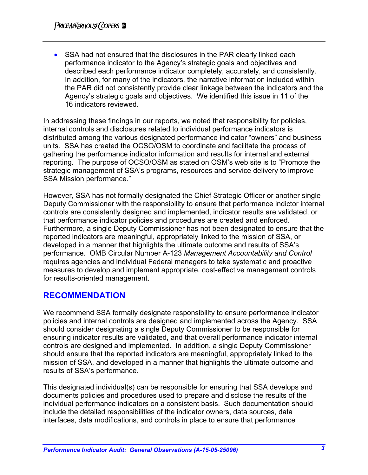• SSA had not ensured that the disclosures in the PAR clearly linked each performance indicator to the Agency's strategic goals and objectives and described each performance indicator completely, accurately, and consistently. In addition, for many of the indicators, the narrative information included within the PAR did not consistently provide clear linkage between the indicators and the Agency's strategic goals and objectives. We identified this issue in 11 of the 16 indicators reviewed.

In addressing these findings in our reports, we noted that responsibility for policies, internal controls and disclosures related to individual performance indicators is distributed among the various designated performance indicator "owners" and business units. SSA has created the OCSO/OSM to coordinate and facilitate the process of gathering the performance indicator information and results for internal and external reporting. The purpose of OCSO/OSM as stated on OSM's web site is to "Promote the strategic management of SSA's programs, resources and service delivery to improve SSA Mission performance."

However, SSA has not formally designated the Chief Strategic Officer or another single Deputy Commissioner with the responsibility to ensure that performance indictor internal controls are consistently designed and implemented, indicator results are validated, or that performance indicator policies and procedures are created and enforced. Furthermore, a single Deputy Commissioner has not been designated to ensure that the reported indicators are meaningful, appropriately linked to the mission of SSA, or developed in a manner that highlights the ultimate outcome and results of SSA's performance. OMB Circular Number A-123 *Management Accountability and Control*  requires agencies and individual Federal managers to take systematic and proactive measures to develop and implement appropriate, cost-effective management controls for results-oriented management.

### **RECOMMENDATION**

We recommend SSA formally designate responsibility to ensure performance indicator policies and internal controls are designed and implemented across the Agency. SSA should consider designating a single Deputy Commissioner to be responsible for ensuring indicator results are validated, and that overall performance indicator internal controls are designed and implemented. In addition, a single Deputy Commissioner should ensure that the reported indicators are meaningful, appropriately linked to the mission of SSA, and developed in a manner that highlights the ultimate outcome and results of SSA's performance.

This designated individual(s) can be responsible for ensuring that SSA develops and documents policies and procedures used to prepare and disclose the results of the individual performance indicators on a consistent basis. Such documentation should include the detailed responsibilities of the indicator owners, data sources, data interfaces, data modifications, and controls in place to ensure that performance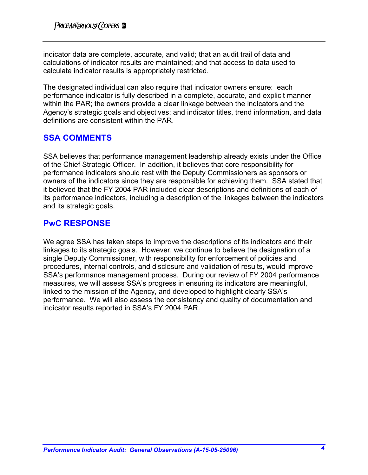indicator data are complete, accurate, and valid; that an audit trail of data and calculations of indicator results are maintained; and that access to data used to calculate indicator results is appropriately restricted.

The designated individual can also require that indicator owners ensure: each performance indicator is fully described in a complete, accurate, and explicit manner within the PAR; the owners provide a clear linkage between the indicators and the Agency's strategic goals and objectives; and indicator titles, trend information, and data definitions are consistent within the PAR.

## **SSA COMMENTS**

SSA believes that performance management leadership already exists under the Office of the Chief Strategic Officer. In addition, it believes that core responsibility for performance indicators should rest with the Deputy Commissioners as sponsors or owners of the indicators since they are responsible for achieving them. SSA stated that it believed that the FY 2004 PAR included clear descriptions and definitions of each of its performance indicators, including a description of the linkages between the indicators and its strategic goals.

### **PwC RESPONSE**

We agree SSA has taken steps to improve the descriptions of its indicators and their linkages to its strategic goals. However, we continue to believe the designation of a single Deputy Commissioner, with responsibility for enforcement of policies and procedures, internal controls, and disclosure and validation of results, would improve SSA's performance management process. During our review of FY 2004 performance measures, we will assess SSA's progress in ensuring its indicators are meaningful, linked to the mission of the Agency, and developed to highlight clearly SSA's performance. We will also assess the consistency and quality of documentation and indicator results reported in SSA's FY 2004 PAR.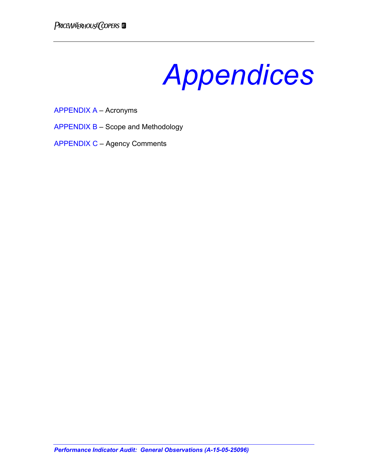*Appendices* 

APPENDIX A – Acronyms

APPENDIX B – Scope and Methodology

APPENDIX C – Agency Comments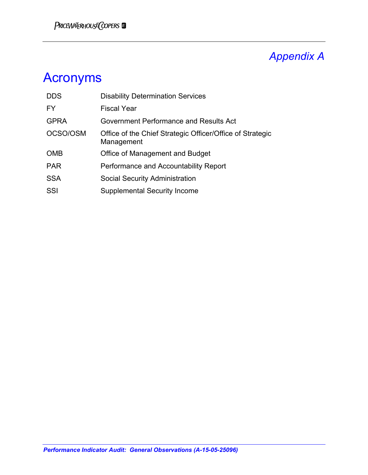# *Appendix A*

# Acronyms

| <b>DDS</b>  | <b>Disability Determination Services</b>                                |
|-------------|-------------------------------------------------------------------------|
| <b>FY</b>   | <b>Fiscal Year</b>                                                      |
| <b>GPRA</b> | Government Performance and Results Act                                  |
| OCSO/OSM    | Office of the Chief Strategic Officer/Office of Strategic<br>Management |
| <b>OMB</b>  | Office of Management and Budget                                         |
| <b>PAR</b>  | Performance and Accountability Report                                   |
| <b>SSA</b>  | <b>Social Security Administration</b>                                   |
| SSI         | <b>Supplemental Security Income</b>                                     |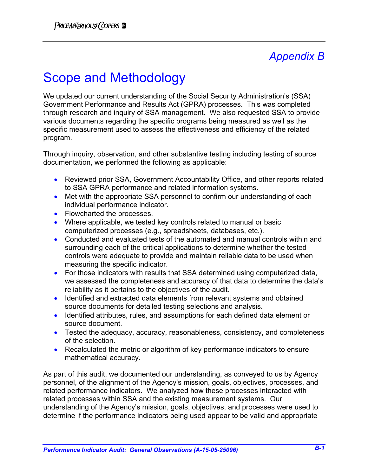# *Appendix B*

# Scope and Methodology

We updated our current understanding of the Social Security Administration's (SSA) Government Performance and Results Act (GPRA) processes. This was completed through research and inquiry of SSA management. We also requested SSA to provide various documents regarding the specific programs being measured as well as the specific measurement used to assess the effectiveness and efficiency of the related program.

Through inquiry, observation, and other substantive testing including testing of source documentation, we performed the following as applicable:

- Reviewed prior SSA, Government Accountability Office, and other reports related to SSA GPRA performance and related information systems.
- Met with the appropriate SSA personnel to confirm our understanding of each individual performance indicator.
- Flowcharted the processes.
- Where applicable, we tested key controls related to manual or basic computerized processes (e.g., spreadsheets, databases, etc.).
- Conducted and evaluated tests of the automated and manual controls within and surrounding each of the critical applications to determine whether the tested controls were adequate to provide and maintain reliable data to be used when measuring the specific indicator.
- For those indicators with results that SSA determined using computerized data, we assessed the completeness and accuracy of that data to determine the data's reliability as it pertains to the objectives of the audit.
- Identified and extracted data elements from relevant systems and obtained source documents for detailed testing selections and analysis.
- Identified attributes, rules, and assumptions for each defined data element or source document.
- Tested the adequacy, accuracy, reasonableness, consistency, and completeness of the selection.
- Recalculated the metric or algorithm of key performance indicators to ensure mathematical accuracy.

As part of this audit, we documented our understanding, as conveyed to us by Agency personnel, of the alignment of the Agency's mission, goals, objectives, processes, and related performance indicators. We analyzed how these processes interacted with related processes within SSA and the existing measurement systems. Our understanding of the Agency's mission, goals, objectives, and processes were used to determine if the performance indicators being used appear to be valid and appropriate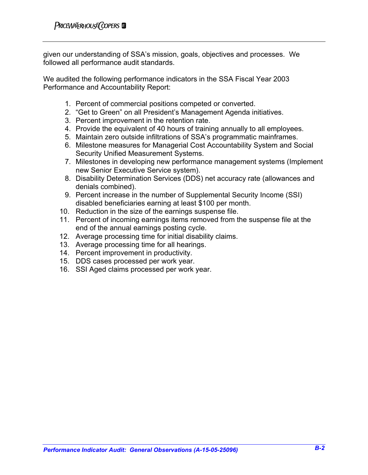given our understanding of SSA's mission, goals, objectives and processes. We followed all performance audit standards.

We audited the following performance indicators in the SSA Fiscal Year 2003 Performance and Accountability Report:

- 1. Percent of commercial positions competed or converted.
- 2. "Get to Green" on all President's Management Agenda initiatives.
- 3. Percent improvement in the retention rate.
- 4. Provide the equivalent of 40 hours of training annually to all employees.
- 5. Maintain zero outside infiltrations of SSA's programmatic mainframes.
- 6. Milestone measures for Managerial Cost Accountability System and Social Security Unified Measurement Systems.
- 7. Milestones in developing new performance management systems (Implement new Senior Executive Service system).
- 8. Disability Determination Services (DDS) net accuracy rate (allowances and denials combined).
- 9. Percent increase in the number of Supplemental Security Income (SSI) disabled beneficiaries earning at least \$100 per month.
- 10. Reduction in the size of the earnings suspense file.
- 11. Percent of incoming earnings items removed from the suspense file at the end of the annual earnings posting cycle.
- 12. Average processing time for initial disability claims.
- 13. Average processing time for all hearings.
- 14. Percent improvement in productivity.
- 15. DDS cases processed per work year.
- 16. SSI Aged claims processed per work year.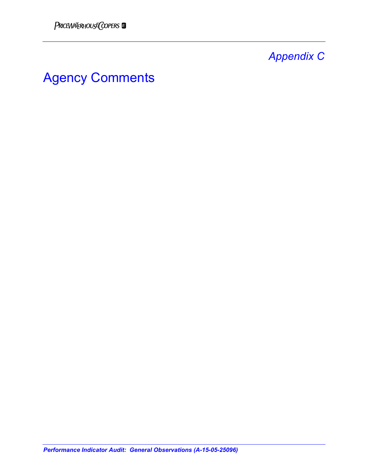# *Appendix C*

# Agency Comments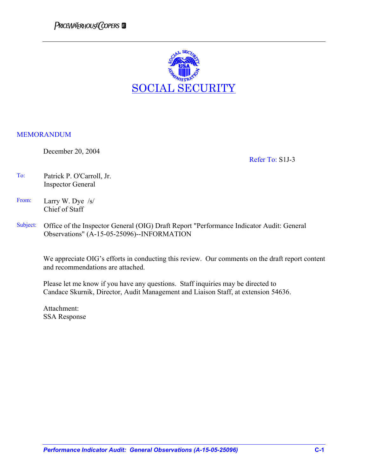

### MEMORANDUM

December 20, 2004

Refer To: S1J-3

- To: Patrick P. O'Carroll, Jr. Inspector General
- From: Larry W. Dye /s/ Chief of Staff
- Subject: Office of the Inspector General (OIG) Draft Report "Performance Indicator Audit: General Observations" (A-15-05-25096)--INFORMATION

We appreciate OIG's efforts in conducting this review. Our comments on the draft report content and recommendations are attached.

Please let me know if you have any questions. Staff inquiries may be directed to Candace Skurnik, Director, Audit Management and Liaison Staff, at extension 54636.

Attachment: SSA Response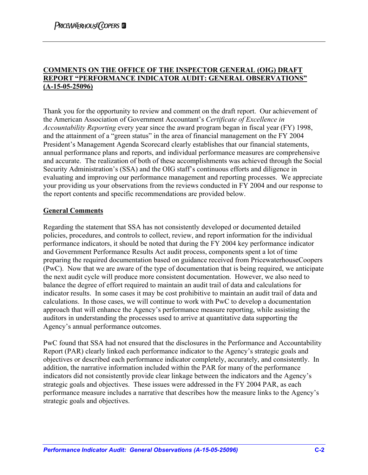### **COMMENTS ON THE OFFICE OF THE INSPECTOR GENERAL (OIG) DRAFT REPORT "PERFORMANCE INDICATOR AUDIT: GENERAL OBSERVATIONS" (A-15-05-25096)**

Thank you for the opportunity to review and comment on the draft report. Our achievement of the American Association of Government Accountant's *Certificate of Excellence in Accountability Reporting* every year since the award program began in fiscal year (FY) 1998, and the attainment of a "green status" in the area of financial management on the FY 2004 President's Management Agenda Scorecard clearly establishes that our financial statements, annual performance plans and reports, and individual performance measures are comprehensive and accurate. The realization of both of these accomplishments was achieved through the Social Security Administration's (SSA) and the OIG staff's continuous efforts and diligence in evaluating and improving our performance management and reporting processes. We appreciate your providing us your observations from the reviews conducted in FY 2004 and our response to the report contents and specific recommendations are provided below.

### **General Comments**

Regarding the statement that SSA has not consistently developed or documented detailed policies, procedures, and controls to collect, review, and report information for the individual performance indicators, it should be noted that during the FY 2004 key performance indicator and Government Performance Results Act audit process, components spent a lot of time preparing the required documentation based on guidance received from PricewaterhouseCoopers (PwC). Now that we are aware of the type of documentation that is being required, we anticipate the next audit cycle will produce more consistent documentation. However, we also need to balance the degree of effort required to maintain an audit trail of data and calculations for indicator results. In some cases it may be cost prohibitive to maintain an audit trail of data and calculations. In those cases, we will continue to work with PwC to develop a documentation approach that will enhance the Agency's performance measure reporting, while assisting the auditors in understanding the processes used to arrive at quantitative data supporting the Agency's annual performance outcomes.

PwC found that SSA had not ensured that the disclosures in the Performance and Accountability Report (PAR) clearly linked each performance indicator to the Agency's strategic goals and objectives or described each performance indicator completely, accurately, and consistently. In addition, the narrative information included within the PAR for many of the performance indicators did not consistently provide clear linkage between the indicators and the Agency's strategic goals and objectives. These issues were addressed in the FY 2004 PAR, as each performance measure includes a narrative that describes how the measure links to the Agency's strategic goals and objectives.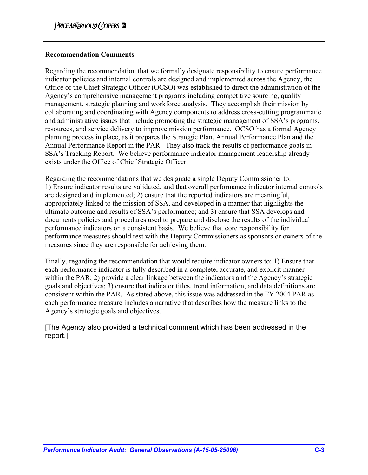### **Recommendation Comments**

Regarding the recommendation that we formally designate responsibility to ensure performance indicator policies and internal controls are designed and implemented across the Agency, the Office of the Chief Strategic Officer (OCSO) was established to direct the administration of the Agency's comprehensive management programs including competitive sourcing, quality management, strategic planning and workforce analysis. They accomplish their mission by collaborating and coordinating with Agency components to address cross-cutting programmatic and administrative issues that include promoting the strategic management of SSA's programs, resources, and service delivery to improve mission performance. OCSO has a formal Agency planning process in place, as it prepares the Strategic Plan, Annual Performance Plan and the Annual Performance Report in the PAR. They also track the results of performance goals in SSA's Tracking Report. We believe performance indicator management leadership already exists under the Office of Chief Strategic Officer.

Regarding the recommendations that we designate a single Deputy Commissioner to: 1) Ensure indicator results are validated, and that overall performance indicator internal controls are designed and implemented; 2) ensure that the reported indicators are meaningful, appropriately linked to the mission of SSA, and developed in a manner that highlights the ultimate outcome and results of SSA's performance; and 3) ensure that SSA develops and documents policies and procedures used to prepare and disclose the results of the individual performance indicators on a consistent basis. We believe that core responsibility for performance measures should rest with the Deputy Commissioners as sponsors or owners of the measures since they are responsible for achieving them.

Finally, regarding the recommendation that would require indicator owners to: 1) Ensure that each performance indicator is fully described in a complete, accurate, and explicit manner within the PAR; 2) provide a clear linkage between the indicators and the Agency's strategic goals and objectives; 3) ensure that indicator titles, trend information, and data definitions are consistent within the PAR. As stated above, this issue was addressed in the FY 2004 PAR as each performance measure includes a narrative that describes how the measure links to the Agency's strategic goals and objectives.

[The Agency also provided a technical comment which has been addressed in the report.]